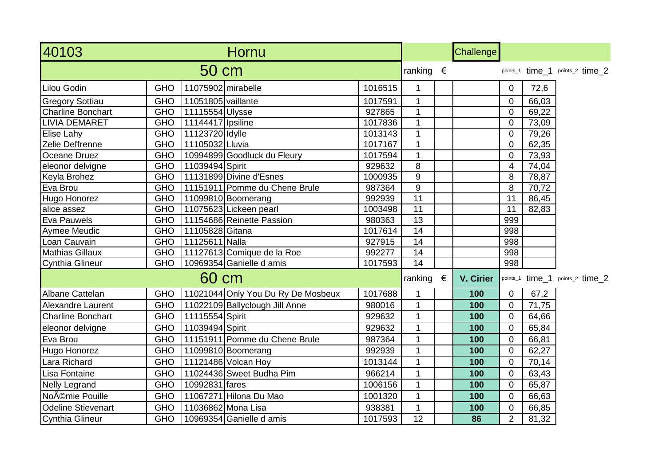| 40103                     |            |                     | Hornu                              |         |                    | Challenge        |                |       |                                 |
|---------------------------|------------|---------------------|------------------------------------|---------|--------------------|------------------|----------------|-------|---------------------------------|
|                           |            | 50 cm               |                                    |         | ranking $\epsilon$ |                  |                |       | points_1 time 1 points_2 time 2 |
| Lilou Godin               | <b>GHO</b> | 11075902 mirabelle  |                                    | 1016515 |                    |                  | $\mathbf 0$    | 72,6  |                                 |
| <b>Gregory Sottiau</b>    | <b>GHO</b> | 11051805 vaillante  |                                    | 1017591 | $\mathbf{1}$       |                  | $\overline{0}$ | 66,03 |                                 |
| <b>Charline Bonchart</b>  | <b>GHO</b> | 11115554 Ulysse     |                                    | 927865  | $\mathbf{1}$       |                  | $\overline{0}$ | 69,22 |                                 |
| <b>LIVIA DEMARET</b>      | <b>GHO</b> | 11144417   Ipsiline |                                    | 1017836 | $\mathbf{1}$       |                  | $\overline{0}$ | 73,09 |                                 |
| <b>Elise Lahy</b>         | <b>GHO</b> | 11123720 Idylle     |                                    | 1013143 | $\mathbf{1}$       |                  | $\overline{0}$ | 79,26 |                                 |
| Zelie Deffrenne           | <b>GHO</b> | 11105032 Lluvia     |                                    | 1017167 | $\mathbf{1}$       |                  | $\overline{0}$ | 62,35 |                                 |
| Oceane Druez              | <b>GHO</b> |                     | 10994899 Goodluck du Fleury        | 1017594 | 1                  |                  | $\overline{0}$ | 73,93 |                                 |
| eleonor delvigne          | <b>GHO</b> | 11039494 Spirit     |                                    | 929632  | 8                  |                  | $\overline{4}$ | 74,04 |                                 |
| Keyla Brohez              | <b>GHO</b> |                     | 11131899 Divine d'Esnes            | 1000935 | 9                  |                  | 8              | 78,87 |                                 |
| Eva Brou                  | <b>GHO</b> |                     | 11151911 Pomme du Chene Brule      | 987364  | $\boldsymbol{9}$   |                  | 8              | 70,72 |                                 |
| Hugo Honorez              | <b>GHO</b> |                     | 11099810 Boomerang                 | 992939  | 11                 |                  | 11             | 86,45 |                                 |
| alice assez               | <b>GHO</b> |                     | 11075623 Lickeen pearl             | 1003498 | 11                 |                  | 11             | 82,83 |                                 |
| <b>Eva Pauwels</b>        | <b>GHO</b> |                     | 11154686 Reinette Passion          | 980363  | 13                 |                  | 999            |       |                                 |
| <b>Aymee Meudic</b>       | <b>GHO</b> | 11105828 Gitana     |                                    | 1017614 | $\overline{14}$    |                  | 998            |       |                                 |
| Loan Cauvain              | <b>GHO</b> | 11125611 Nalla      |                                    | 927915  | 14                 |                  | 998            |       |                                 |
| <b>Mathias Gillaux</b>    | <b>GHO</b> |                     | 11127613 Comique de la Roe         | 992277  | 14                 |                  | 998            |       |                                 |
| <b>Cynthia Glineur</b>    | <b>GHO</b> |                     | 10969354 Ganielle d amis           | 1017593 | 14                 |                  | 998            |       |                                 |
|                           |            | 60 cm               |                                    |         | ranking $\epsilon$ | <b>V. Cirier</b> |                |       | points_1 time_1 points_2 time_2 |
| Albane Cattelan           | <b>GHO</b> |                     | 11021044 Only You Du Ry De Mosbeux | 1017688 |                    | 100              | $\mathbf 0$    | 67,2  |                                 |
| <b>Alexandre Laurent</b>  | <b>GHO</b> |                     | 11022109 Ballyclough Jill Anne     | 980016  | $\mathbf{1}$       | 100              | $\overline{0}$ | 71,75 |                                 |
| <b>Charline Bonchart</b>  | <b>GHO</b> | 11115554 Spirit     |                                    | 929632  | $\mathbf{1}$       | 100              | $\overline{0}$ | 64,66 |                                 |
| eleonor delvigne          | <b>GHO</b> | 11039494 Spirit     |                                    | 929632  | $\mathbf{1}$       | 100              | $\overline{0}$ | 65,84 |                                 |
| Eva Brou                  | <b>GHO</b> |                     | 11151911 Pomme du Chene Brule      | 987364  | $\mathbf{1}$       | 100              | $\overline{0}$ | 66,81 |                                 |
| Hugo Honorez              | <b>GHO</b> |                     | 11099810 Boomerang                 | 992939  | $\mathbf{1}$       | 100              | $\overline{0}$ | 62,27 |                                 |
| Lara Richard              | <b>GHO</b> |                     | 11121486 Volcan Hoy                | 1013144 | $\mathbf{1}$       | 100              | $\overline{0}$ | 70,14 |                                 |
| Lisa Fontaine             | <b>GHO</b> |                     | 11024436 Sweet Budha Pim           | 966214  | $\mathbf{1}$       | 100              | $\mathbf 0$    | 63,43 |                                 |
| <b>Nelly Legrand</b>      | <b>GHO</b> | 10992831 fares      |                                    | 1006156 | $\mathbf{1}$       | 100              | $\overline{0}$ | 65,87 |                                 |
| Noémie Pouille            | <b>GHO</b> |                     | 11067271 Hilona Du Mao             | 1001320 | $\mathbf{1}$       | 100              | $\overline{0}$ | 66,63 |                                 |
| <b>Odeline Stievenart</b> | <b>GHO</b> |                     | 11036862 Mona Lisa                 | 938381  | $\mathbf{1}$       | 100              | $\overline{0}$ | 66,85 |                                 |
| Cynthia Glineur           | <b>GHO</b> |                     | 10969354 Ganielle d amis           | 1017593 | 12                 | 86               | $\overline{2}$ | 81,32 |                                 |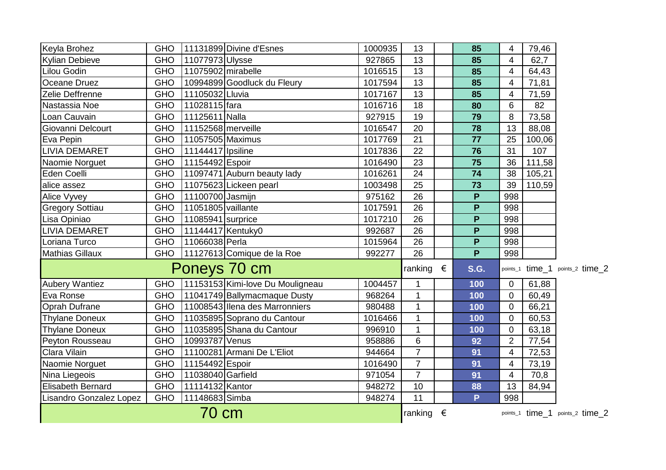| Keyla Brohez            | <b>GHO</b> |                     | 11131899 Divine d'Esnes          | 1000935 | 13             |                    | 85           | 4                        | 79,46  |                                 |
|-------------------------|------------|---------------------|----------------------------------|---------|----------------|--------------------|--------------|--------------------------|--------|---------------------------------|
| Kylian Debieve          | <b>GHO</b> | 11077973 Ulysse     |                                  | 927865  | 13             |                    | 85           | $\overline{4}$           | 62,7   |                                 |
| Lilou Godin             | <b>GHO</b> | 11075902 mirabelle  |                                  | 1016515 | 13             |                    | 85           | $\overline{\mathbf{4}}$  | 64,43  |                                 |
| Oceane Druez            | <b>GHO</b> |                     | 10994899 Goodluck du Fleury      | 1017594 | 13             |                    | 85           | $\overline{\mathbf{4}}$  | 71,81  |                                 |
| Zelie Deffrenne         | <b>GHO</b> | 11105032 Lluvia     |                                  | 1017167 | 13             |                    | 85           | $\overline{\mathbf{4}}$  | 71,59  |                                 |
| Nastassia Noe           | <b>GHO</b> | 11028115 fara       |                                  | 1016716 | 18             |                    | 80           | 6                        | 82     |                                 |
| Loan Cauvain            | <b>GHO</b> | 11125611 Nalla      |                                  | 927915  | 19             |                    | 79           | 8                        | 73,58  |                                 |
| Giovanni Delcourt       | <b>GHO</b> | 11152568 merveille  |                                  | 1016547 | 20             |                    | 78           | 13                       | 88,08  |                                 |
| Eva Pepin               | <b>GHO</b> | 11057505 Maximus    |                                  | 1017769 | 21             |                    | 77           | 25                       | 100,06 |                                 |
| LIVIA DEMARET           | <b>GHO</b> | 11144417   Ipsiline |                                  | 1017836 | 22             |                    | 76           | 31                       | 107    |                                 |
| Naomie Norguet          | <b>GHO</b> | 11154492 Espoir     |                                  | 1016490 | 23             |                    | 75           | 36                       | 111,58 |                                 |
| Eden Coelli             | <b>GHO</b> |                     | 11097471 Auburn beauty lady      | 1016261 | 24             |                    | 74           | 38                       | 105,21 |                                 |
| alice assez             | <b>GHO</b> |                     | 11075623 Lickeen pearl           | 1003498 | 25             |                    | 73           | 39                       | 110,59 |                                 |
| Alice Vyvey             | <b>GHO</b> | 11100700 Jasmijn    |                                  | 975162  | 26             |                    | $\mathsf{P}$ | 998                      |        |                                 |
| <b>Gregory Sottiau</b>  | <b>GHO</b> | 11051805 vaillante  |                                  | 1017591 | 26             |                    | P            | 998                      |        |                                 |
| Lisa Opiniao            | <b>GHO</b> | 11085941 surprice   |                                  | 1017210 | 26             |                    | P            | 998                      |        |                                 |
| <b>LIVIA DEMARET</b>    | <b>GHO</b> | 11144417 Kentuky0   |                                  | 992687  | 26             |                    | P            | 998                      |        |                                 |
| Loriana Turco           | <b>GHO</b> | 11066038 Perla      |                                  | 1015964 | 26             |                    | P            | 998                      |        |                                 |
| Mathias Gillaux         | <b>GHO</b> |                     | 11127613 Comique de la Roe       | 992277  | 26             |                    | P            | 998                      |        |                                 |
|                         |            |                     | Poneys 70 cm                     |         | ranking        | €                  | <b>S.G.</b>  |                          |        | points_1 time_1 points_2 time_2 |
| <b>Aubery Wantiez</b>   | <b>GHO</b> |                     | 11153153 Kimi-love Du Mouligneau | 1004457 | 1              |                    | 100          | $\mathbf 0$              | 61,88  |                                 |
| Eva Ronse               | <b>GHO</b> |                     | 11041749 Ballymacmaque Dusty     | 968264  | $\mathbf{1}$   |                    | 100          | $\pmb{0}$                | 60,49  |                                 |
| <b>Oprah Dufrane</b>    | <b>GHO</b> |                     | 11008543 Ilena des Marronniers   | 980488  | $\mathbf{1}$   |                    | 100          | $\mathbf 0$              | 66,21  |                                 |
| <b>Thylane Doneux</b>   | <b>GHO</b> |                     | 11035895 Soprano du Cantour      | 1016466 | $\mathbf{1}$   |                    | 100          | $\mathbf 0$              | 60,53  |                                 |
| <b>Thylane Doneux</b>   | <b>GHO</b> |                     | 11035895 Shana du Cantour        | 996910  | $\mathbf{1}$   |                    | 100          | $\mathbf 0$              | 63,18  |                                 |
| Peyton Rousseau         | <b>GHO</b> | 10993787 Venus      |                                  | 958886  | 6              |                    | 92           | $\overline{2}$           | 77,54  |                                 |
| Clara Vilain            | <b>GHO</b> |                     | 11100281 Armani De L'Eliot       | 944664  | $\overline{7}$ |                    | 91           | $\overline{\mathbf{4}}$  | 72,53  |                                 |
| Naomie Norguet          | <b>GHO</b> | 11154492 Espoir     |                                  | 1016490 | $\overline{7}$ |                    | 91           | $\overline{\mathbf{4}}$  | 73,19  |                                 |
| Nina Liegeois           | <b>GHO</b> | 11038040 Garfield   |                                  | 971054  | $\overline{7}$ |                    | 91           | $\overline{\mathcal{A}}$ | 70,8   |                                 |
| Elisabeth Bernard       | <b>GHO</b> | 11114132 Kantor     |                                  | 948272  | 10             |                    | 88           | 13                       | 84,94  |                                 |
| Lisandro Gonzalez Lopez | <b>GHO</b> | 11148683 Simba      |                                  | 948274  | 11             |                    | P            | 998                      |        |                                 |
| 70 cm                   |            |                     |                                  |         |                | ranking $\epsilon$ |              |                          |        | points_1 time_1 points_2 time_2 |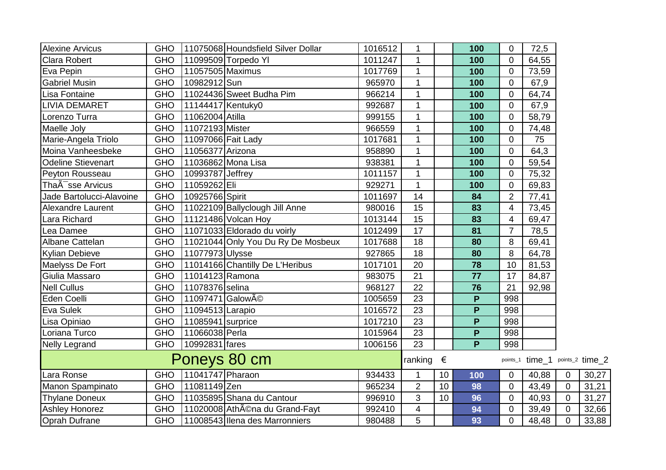| <b>Alexine Arvicus</b>        | <b>GHO</b> |                                          | 11075068 Houndsfield Silver Dollar | 1016512 | 1                  |    | 100 | 0                | 72,5                            |                |       |
|-------------------------------|------------|------------------------------------------|------------------------------------|---------|--------------------|----|-----|------------------|---------------------------------|----------------|-------|
| <b>Clara Robert</b>           | <b>GHO</b> |                                          | 11099509 Torpedo YI                | 1011247 | $\mathbf{1}$       |    | 100 | $\overline{0}$   | 64,55                           |                |       |
| Eva Pepin                     | <b>GHO</b> | 11057505 Maximus                         |                                    | 1017769 | $\mathbf{1}$       |    | 100 | $\overline{0}$   | 73,59                           |                |       |
| <b>Gabriel Musin</b>          | <b>GHO</b> | 10982912 Sun                             |                                    | 965970  | $\mathbf{1}$       |    | 100 | $\overline{0}$   | 67,9                            |                |       |
| Lisa Fontaine                 | <b>GHO</b> |                                          | 11024436 Sweet Budha Pim           | 966214  | $\mathbf{1}$       |    | 100 | $\Omega$         | 64,74                           |                |       |
| <b>LIVIA DEMARET</b>          | <b>GHO</b> | 11144417 Kentuky0                        |                                    | 992687  |                    |    | 100 | $\overline{0}$   | 67,9                            |                |       |
| Lorenzo Turra                 | <b>GHO</b> | 11062004 Atilla                          |                                    | 999155  | $\mathbf{1}$       |    | 100 | $\overline{0}$   | 58,79                           |                |       |
| Maelle Joly                   | <b>GHO</b> | 11072193 Mister                          |                                    | 966559  | $\mathbf{1}$       |    | 100 | $\overline{0}$   | 74,48                           |                |       |
| Marie-Angela Triolo           | <b>GHO</b> | 11097066 Fait Lady                       |                                    | 1017681 | $\mathbf{1}$       |    | 100 | $\Omega$         | 75                              |                |       |
| Moina Vanheesbeke             | <b>GHO</b> | 11056377 Arizona                         |                                    | 958890  | $\mathbf 1$        |    | 100 | $\overline{0}$   | 64,3                            |                |       |
| <b>Odeline Stievenart</b>     | <b>GHO</b> |                                          | 11036862 Mona Lisa                 | 938381  | 1                  |    | 100 | $\overline{0}$   | 59,54                           |                |       |
| Peyton Rousseau               | <b>GHO</b> | 10993787 Jeffrey                         |                                    | 1011157 | $\mathbf{1}$       |    | 100 | $\Omega$         | 75,32                           |                |       |
| ThaA <sup>-</sup> sse Arvicus | <b>GHO</b> | 11059262 Eli                             |                                    | 929271  | $\mathbf{1}$       |    | 100 | $\Omega$         | 69,83                           |                |       |
| Jade Bartolucci-Alavoine      | <b>GHO</b> | 10925766 Spirit                          |                                    | 1011697 | 14                 |    | 84  | $\overline{2}$   | 77,41                           |                |       |
| Alexandre Laurent             | <b>GHO</b> |                                          | 11022109 Ballyclough Jill Anne     | 980016  | 15                 |    | 83  | $\boldsymbol{4}$ | 73,45                           |                |       |
| Lara Richard                  | <b>GHO</b> |                                          | 11121486 Volcan Hoy                | 1013144 | 15                 |    | 83  | 4                | 69,47                           |                |       |
| Lea Damee                     | <b>GHO</b> |                                          | 11071033 Eldorado du voirly        | 1012499 | 17                 |    | 81  | 7                | 78,5                            |                |       |
| Albane Cattelan               | <b>GHO</b> |                                          | 11021044 Only You Du Ry De Mosbeux | 1017688 | 18                 |    | 80  | 8                | 69,41                           |                |       |
| <b>Kylian Debieve</b>         | <b>GHO</b> | 11077973 Ulysse                          |                                    | 927865  | 18                 |    | 80  | 8                | 64,78                           |                |       |
| Maelyss De Fort               | <b>GHO</b> |                                          | 11014166 Chantilly De L'Heribus    | 1017101 | 20                 |    | 78  | 10               | 81,53                           |                |       |
| Giulia Massaro                | <b>GHO</b> | 11014123 Ramona                          |                                    | 983075  | 21                 |    | 77  | 17               | 84,87                           |                |       |
| <b>Nell Cullus</b>            | <b>GHO</b> | 11078376 selina                          |                                    | 968127  | 22                 |    | 76  | 21               | 92,98                           |                |       |
| Eden Coelli                   | <b>GHO</b> | 11097471 Galow <sub>A</sub> <sup>©</sup> |                                    | 1005659 | 23                 |    | P   | 998              |                                 |                |       |
| Eva Sulek                     | <b>GHO</b> | 11094513 Larapio                         |                                    | 1016572 | 23                 |    | P   | 998              |                                 |                |       |
| Lisa Opiniao                  | <b>GHO</b> | 11085941 surprice                        |                                    | 1017210 | 23                 |    | P   | 998              |                                 |                |       |
| Loriana Turco                 | <b>GHO</b> | 11066038 Perla                           |                                    | 1015964 | 23                 |    | P   | 998              |                                 |                |       |
| Nelly Legrand                 | <b>GHO</b> | 10992831 fares                           |                                    | 1006156 | 23                 |    | P   | 998              |                                 |                |       |
| Poneys 80 cm                  |            |                                          |                                    |         | ranking $\epsilon$ |    |     |                  | points_1 time_1 points_2 time_2 |                |       |
| Lara Ronse                    | <b>GHO</b> | 11041747 Pharaon                         |                                    | 934433  | 1                  | 10 | 100 | 0                | 40,88                           | 0              | 30,27 |
| Manon Spampinato              | <b>GHO</b> | 11081149 Zen                             |                                    | 965234  | $\overline{2}$     | 10 | 98  | $\overline{0}$   | 43,49                           | $\overline{0}$ | 31,21 |
| <b>Thylane Doneux</b>         | <b>GHO</b> |                                          | 11035895 Shana du Cantour          | 996910  | 3                  | 10 | 96  | $\overline{0}$   | 40,93                           | $\overline{0}$ | 31,27 |
| <b>Ashley Honorez</b>         | <b>GHO</b> |                                          | 11020008 Athéna du Grand-Fayt      | 992410  | 4                  |    | 94  | $\mathbf 0$      | 39,49                           | 0              | 32,66 |
| Oprah Dufrane                 | <b>GHO</b> |                                          | 11008543 Ilena des Marronniers     | 980488  | 5                  |    | 93  | $\overline{0}$   | 48,48                           | 0              | 33,88 |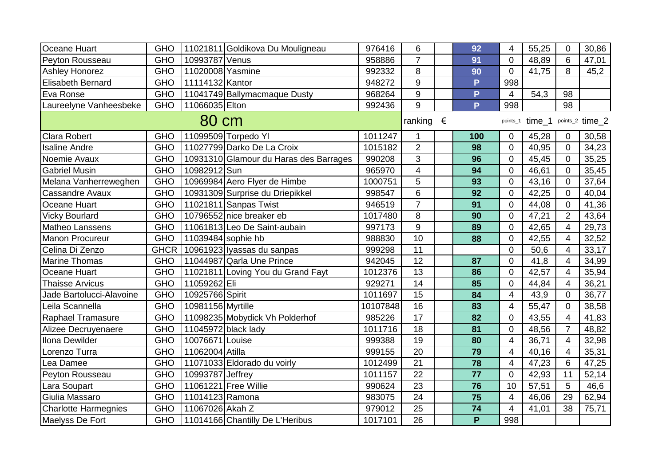| Oceane Huart                | <b>GHO</b>  |                    | 11021811 Goldikova Du Mouligneau       | 976416   | 6                       | 92                      | $\overline{4}$   | 55,25  | $\overline{0}$ | 30,86           |
|-----------------------------|-------------|--------------------|----------------------------------------|----------|-------------------------|-------------------------|------------------|--------|----------------|-----------------|
| Peyton Rousseau             | <b>GHO</b>  | 10993787 Venus     |                                        | 958886   | $\overline{7}$          | 91                      | $\overline{0}$   | 48,89  | 6              | 47,01           |
| Ashley Honorez              | <b>GHO</b>  | 11020008 Yasmine   |                                        | 992332   | 8                       | 90                      | $\Omega$         | 41,75  | 8              | 45,2            |
| Elisabeth Bernard           | <b>GHO</b>  | 11114132 Kantor    |                                        | 948272   | 9                       | P                       | 998              |        |                |                 |
| Eva Ronse                   | <b>GHO</b>  |                    | 11041749 Ballymacmaque Dusty           | 968264   | $\boldsymbol{9}$        | P                       | $\overline{4}$   | 54,3   | 98             |                 |
| Laureelyne Vanheesbeke      | <b>GHO</b>  | 11066035 Elton     |                                        | 992436   | 9                       | P                       | 998              |        | 98             |                 |
|                             |             | 80 cm              |                                        |          | ranking $\epsilon$      |                         | points_1         | time_1 |                | points_2 time_2 |
| <b>Clara Robert</b>         | <b>GHO</b>  |                    | 11099509 Torpedo YI                    | 1011247  | 1                       | 100                     | 0                | 45,28  | $\Omega$       | 30,58           |
| <b>Isaline Andre</b>        | <b>GHO</b>  |                    | 11027799 Darko De La Croix             | 1015182  | $\overline{2}$          | 98                      | $\overline{0}$   | 40,95  | $\overline{0}$ | 34,23           |
| Noemie Avaux                | <b>GHO</b>  |                    | 10931310 Glamour du Haras des Barrages | 990208   | 3                       | 96                      | $\Omega$         | 45,45  | $\Omega$       | 35,25           |
| <b>Gabriel Musin</b>        | <b>GHO</b>  | 10982912 Sun       |                                        | 965970   | $\overline{\mathbf{4}}$ | 94                      | $\Omega$         | 46,61  | $\Omega$       | 35,45           |
| Melana Vanherreweghen       | <b>GHO</b>  |                    | 10969984 Aero Flyer de Himbe           | 1000751  | 5                       | 93                      | $\overline{0}$   | 43,16  | $\Omega$       | 37,64           |
| <b>Cassandre Avaux</b>      | <b>GHO</b>  |                    | 10931309 Surprise du Driepikkel        | 998547   | 6                       | 92                      | $\overline{0}$   | 42,25  | $\Omega$       | 40,04           |
| Oceane Huart                | <b>GHO</b>  |                    | 11021811 Sanpas Twist                  | 946519   | $\overline{7}$          | 91                      | $\overline{0}$   | 44,08  | $\Omega$       | 41,36           |
| <b>Vicky Bourlard</b>       | <b>GHO</b>  |                    | 10796552 nice breaker eb               | 1017480  | 8                       | 90                      | $\overline{0}$   | 47,21  | $\overline{2}$ | 43,64           |
| Matheo Lanssens             | <b>GHO</b>  |                    | 11061813 Leo De Saint-aubain           | 997173   | 9                       | 89                      | $\overline{0}$   | 42,65  | $\overline{4}$ | 29,73           |
| <b>Manon Procureur</b>      | <b>GHO</b>  | 11039484 sophie hb |                                        | 988830   | 10                      | 88                      | $\overline{0}$   | 42,55  | 4              | 32,52           |
| Celina Di Zenzo             | <b>GHCR</b> |                    | 10961923 Iyassas du sanpas             | 999298   | 11                      |                         | $\Omega$         | 50,6   | 4              | 33,17           |
| <b>Marine Thomas</b>        | <b>GHO</b>  |                    | 11044987 Qarla Une Prince              | 942045   | 12                      | 87                      | $\overline{0}$   | 41,8   | $\overline{4}$ | 34,99           |
| Oceane Huart                | <b>GHO</b>  |                    | 11021811 Loving You du Grand Fayt      | 1012376  | 13                      | 86                      | $\Omega$         | 42,57  | $\overline{4}$ | 35,94           |
| <b>Thaisse Arvicus</b>      | <b>GHO</b>  | 11059262 Eli       |                                        | 929271   | 14                      | 85                      | $\Omega$         | 44,84  | 4              | 36,21           |
| Jade Bartolucci-Alavoine    | <b>GHO</b>  | 10925766 Spirit    |                                        | 1011697  | 15                      | 84                      | $\overline{4}$   | 43,9   | $\Omega$       | 36,77           |
| Leila Scannella             | <b>GHO</b>  | 10981156 Myrtille  |                                        | 10107848 | 16                      | 83                      | 4                | 55,47  | $\Omega$       | 38,58           |
| Raphael Tramasure           | <b>GHO</b>  |                    | 11098235 Mobydick Vh Polderhof         | 985226   | 17                      | 82                      | $\overline{0}$   | 43,55  | $\overline{4}$ | 41,83           |
| Alizee Decruyenaere         | <b>GHO</b>  |                    | 11045972 black lady                    | 1011716  | 18                      | 81                      | $\overline{0}$   | 48,56  | $\overline{7}$ | 48,82           |
| Ilona Dewilder              | <b>GHO</b>  | 10076671 Louise    |                                        | 999388   | 19                      | 80                      | $\overline{4}$   | 36,71  | 4              | 32,98           |
| Lorenzo Turra               | <b>GHO</b>  | 11062004 Atilla    |                                        | 999155   | 20                      | 79                      | $\overline{4}$   | 40,16  | $\overline{4}$ | 35,31           |
| Lea Damee                   | <b>GHO</b>  |                    | 11071033 Eldorado du voirly            | 1012499  | 21                      | 78                      | 4                | 47,23  | 6              | 47,25           |
| Peyton Rousseau             | <b>GHO</b>  | 10993787 Jeffrey   |                                        | 1011157  | 22                      | 77                      | $\overline{0}$   | 42,93  | 11             | 52,14           |
| Lara Soupart                | <b>GHO</b>  |                    | 11061221 Free Willie                   | 990624   | 23                      | 76                      | 10               | 57,51  | 5              | 46,6            |
| Giulia Massaro              | <b>GHO</b>  | 11014123 Ramona    |                                        | 983075   | 24                      | 75                      | $\overline{4}$   | 46,06  | 29             | 62,94           |
| <b>Charlotte Harmegnies</b> | <b>GHO</b>  | 11067026 Akah Z    |                                        | 979012   | 25                      | 74                      | $\boldsymbol{4}$ | 41,01  | 38             | 75,71           |
| Maelyss De Fort             | <b>GHO</b>  |                    | 11014166 Chantilly De L'Heribus        | 1017101  | 26                      | $\overline{\mathsf{P}}$ | 998              |        |                |                 |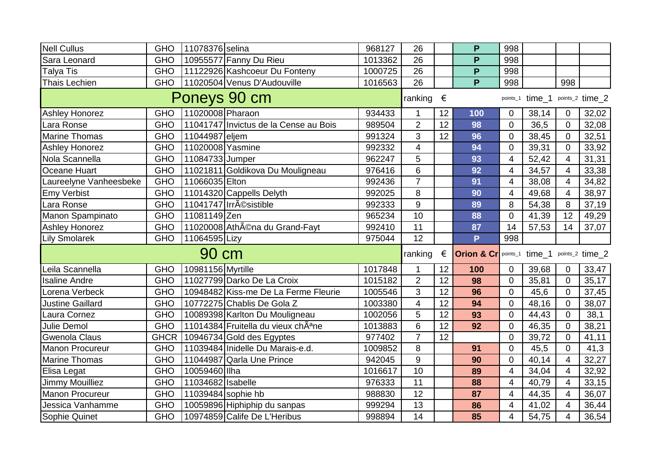| Nell Cullus                       | <b>GHO</b>  | 11078376 selina    |                                                 | 968127  | 26                 |                 | P                                          | 998            |        |                |                 |
|-----------------------------------|-------------|--------------------|-------------------------------------------------|---------|--------------------|-----------------|--------------------------------------------|----------------|--------|----------------|-----------------|
| Sara Leonard                      | <b>GHO</b>  |                    | 10955577 Fanny Du Rieu                          | 1013362 | 26                 |                 | P                                          | 998            |        |                |                 |
| Talya Tis                         | <b>GHO</b>  |                    | 11122926 Kashcoeur Du Fonteny                   | 1000725 | 26                 |                 | P                                          | 998            |        |                |                 |
| Thais Lechien                     | <b>GHO</b>  |                    | 11020504 Venus D'Audouville                     | 1016563 | 26                 |                 | P                                          | 998            |        | 998            |                 |
|                                   |             |                    | Poneys 90 cm                                    |         | ranking $\epsilon$ |                 |                                            | points_1       | time 1 |                | points_2 time_2 |
| <b>Ashley Honorez</b>             | <b>GHO</b>  | 11020008 Pharaon   |                                                 | 934433  | $\mathbf{1}$       | 12              | 100                                        | $\mathbf 0$    | 38,14  | 0              | 32,02           |
| Lara Ronse                        | <b>GHO</b>  |                    | 11041747 Invictus de la Cense au Bois           | 989504  | $\overline{2}$     | 12              | 98                                         | $\Omega$       | 36,5   | $\Omega$       | 32,08           |
| <b>Marine Thomas</b>              | <b>GHO</b>  | 11044987 eljem     |                                                 | 991324  | 3                  | 12              | 96                                         | $\overline{0}$ | 38,45  | $\overline{0}$ | 32,51           |
| <b>Ashley Honorez</b>             | <b>GHO</b>  | 11020008 Yasmine   |                                                 | 992332  | $\overline{4}$     |                 | 94                                         | $\overline{0}$ | 39,31  | $\mathbf 0$    | 33,92           |
| Nola Scannella                    | <b>GHO</b>  | 11084733 Jumper    |                                                 | 962247  | 5                  |                 | 93                                         | $\overline{4}$ | 52,42  | $\overline{4}$ | 31,31           |
| Oceane Huart                      | <b>GHO</b>  |                    | 11021811 Goldikova Du Mouligneau                | 976416  | 6                  |                 | 92                                         | 4              | 34,57  | $\overline{4}$ | 33,38           |
| Laureelyne Vanheesbeke            | <b>GHO</b>  | 11066035 Elton     |                                                 | 992436  | $\overline{7}$     |                 | 91                                         | $\overline{4}$ | 38,08  | $\overline{4}$ | 34,82           |
| <b>Emy Verbist</b>                | <b>GHO</b>  |                    | 11014320 Cappells Delyth                        | 992025  | 8                  |                 | 90                                         | $\overline{4}$ | 49,68  | $\overline{4}$ | 38,97           |
| Lara Ronse                        | <b>GHO</b>  |                    | 11041747 Irrésistible                           | 992333  | $9\,$              |                 | 89                                         | 8              | 54,38  | 8              | 37,19           |
| Manon Spampinato                  | <b>GHO</b>  | 11081149 Zen       |                                                 | 965234  | 10                 |                 | 88                                         | $\Omega$       | 41,39  | 12             | 49,29           |
| <b>Ashley Honorez</b>             | <b>GHO</b>  |                    | 11020008 Athéna du Grand-Fayt                   | 992410  | 11                 |                 | 87                                         | 14             | 57,53  | 14             | 37,07           |
|                                   |             |                    |                                                 |         |                    |                 |                                            |                |        |                |                 |
| <b>Lily Smolarek</b>              | <b>GHO</b>  | 11064595 Lizy      |                                                 | 975044  | 12                 |                 | P                                          | 998            |        |                |                 |
|                                   |             | 90 cm              |                                                 |         | ranking            | €               | Orion & Cr points_1 time_1 points_2 time_2 |                |        |                |                 |
| Leila Scannella                   | <b>GHO</b>  | 10981156 Myrtille  |                                                 | 1017848 | $\mathbf{1}$       | 12              | 100                                        | 0              | 39,68  | $\mathbf 0$    | 33,47           |
| <b>Isaline Andre</b>              | <b>GHO</b>  |                    | 11027799 Darko De La Croix                      | 1015182 | $\overline{2}$     | 12              | 98                                         | $\overline{0}$ | 35,81  | $\overline{0}$ | 35,17           |
| Lorena Verbeck                    | <b>GHO</b>  |                    | 10948482 Kiss-me De La Ferme Fleurie            | 1005546 | 3                  | 12              | 96                                         | $\overline{0}$ | 45,6   | $\overline{0}$ | 37,45           |
| <b>Justine Gaillard</b>           | <b>GHO</b>  |                    | 10772275 Chablis De Gola Z                      | 1003380 | 4                  | 12              | 94                                         | $\Omega$       | 48,16  | $\overline{0}$ | 38,07           |
| Laura Cornez                      | <b>GHO</b>  |                    | 10089398 Karlton Du Mouligneau                  | 1002056 | 5                  | 12              | 93                                         | $\Omega$       | 44,43  | $\Omega$       | 38,1            |
| Julie Demol                       | <b>GHO</b>  |                    | 11014384 Fruitella du vieux chÂ <sup>a</sup> ne | 1013883 | 6                  | 12              | 92                                         | $\overline{0}$ | 46,35  | $\Omega$       | 38,21           |
| <b>Gwenola Claus</b>              | <b>GHCR</b> |                    | 10946734 Gold des Egyptes                       | 977402  | $\overline{7}$     | $\overline{12}$ |                                            | $\mathbf 0$    | 39,72  | $\mathbf 0$    | 41,11           |
| <b>Manon Procureur</b>            | <b>GHO</b>  |                    | 11039484 Inidelle Du Marais-e.d.                | 1009852 | 8                  |                 | 91                                         | $\overline{0}$ | 45,5   | $\Omega$       | 41,3            |
| <b>Marine Thomas</b>              | <b>GHO</b>  |                    | 11044987 Qarla Une Prince                       | 942045  | $9$                |                 | 90                                         | $\overline{0}$ | 40,14  | $\overline{4}$ | 32,27           |
| Elisa Legat                       | <b>GHO</b>  | 10059460 Ilha      |                                                 | 1016617 | 10                 |                 | 89                                         | $\overline{4}$ | 34,04  | $\overline{4}$ | 32,92           |
| <b>Jimmy Mouilliez</b>            | <b>GHO</b>  | 11034682 Isabelle  |                                                 | 976333  | 11                 |                 | 88                                         | $\overline{4}$ | 40,79  | $\overline{4}$ | 33,15           |
| <b>Manon Procureur</b>            | <b>GHO</b>  | 11039484 sophie hb |                                                 | 988830  | 12                 |                 | 87                                         | 4              | 44,35  | $\overline{4}$ | 36,07           |
| Jessica Vanhamme<br>Sophie Quinet | <b>GHO</b>  |                    | 10059896 Hiphiphip du sanpas                    | 999294  | 13<br>14           |                 | 86                                         | 4              | 41,02  | $\overline{4}$ | 36,44<br>36,54  |